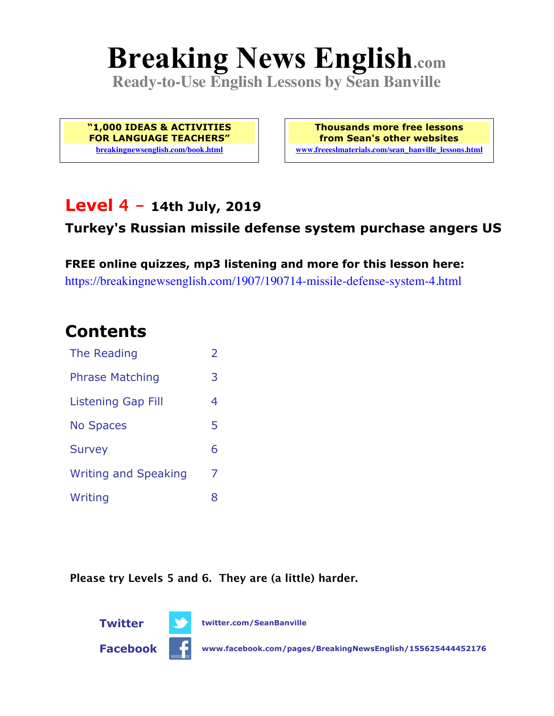# **Breaking News English.com**

**Ready-to-Use English Lessons by Sean Banville**

**"1,000 IDEAS & ACTIVITIES FOR LANGUAGE TEACHERS" breakingnewsenglish.com/book.html**

**Thousands more free lessons from Sean's other websites www.freeeslmaterials.com/sean\_banville\_lessons.html**

### **Level 4 - 14th July, 2019**

#### **Turkey's Russian missile defense system purchase angers US**

**FREE online quizzes, mp3 listening and more for this lesson here:** https://breakingnewsenglish.com/1907/190714-missile-defense-system-4.html

# **Contents**

| The Reading                 | $\overline{2}$ |
|-----------------------------|----------------|
| <b>Phrase Matching</b>      | 3              |
| <b>Listening Gap Fill</b>   | 4              |
| <b>No Spaces</b>            | 5              |
| <b>Survey</b>               | 6              |
| <b>Writing and Speaking</b> | 7              |
| Writing                     | 8              |

**Please try Levels 5 and 6. They are (a little) harder.**



**Facebook www.facebook.com/pages/BreakingNewsEnglish/155625444452176**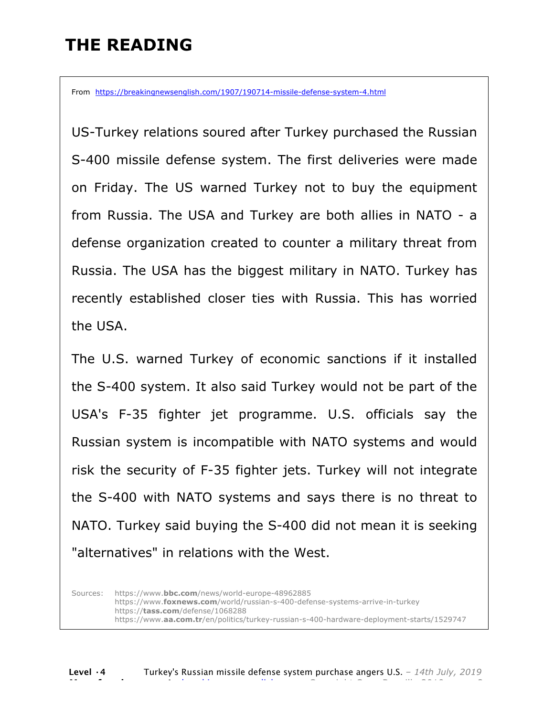# **THE READING**

From https://breakingnewsenglish.com/1907/190714-missile-defense-system-4.html

US-Turkey relations soured after Turkey purchased the Russian S-400 missile defense system. The first deliveries were made on Friday. The US warned Turkey not to buy the equipment from Russia. The USA and Turkey are both allies in NATO - a defense organization created to counter a military threat from Russia. The USA has the biggest military in NATO. Turkey has recently established closer ties with Russia. This has worried the USA.

The U.S. warned Turkey of economic sanctions if it installed the S-400 system. It also said Turkey would not be part of the USA's F-35 fighter jet programme. U.S. officials say the Russian system is incompatible with NATO systems and would risk the security of F-35 fighter jets. Turkey will not integrate the S-400 with NATO systems and says there is no threat to NATO. Turkey said buying the S-400 did not mean it is seeking "alternatives" in relations with the West.

Sources: https://www.**bbc.com**/news/world-europe-48962885 https://www.**foxnews.com**/world/russian-s-400-defense-systems-arrive-in-turkey https://**tass.com**/defense/1068288 https://www.**aa.com.tr**/en/politics/turkey-russian-s-400-hardware-deployment-starts/1529747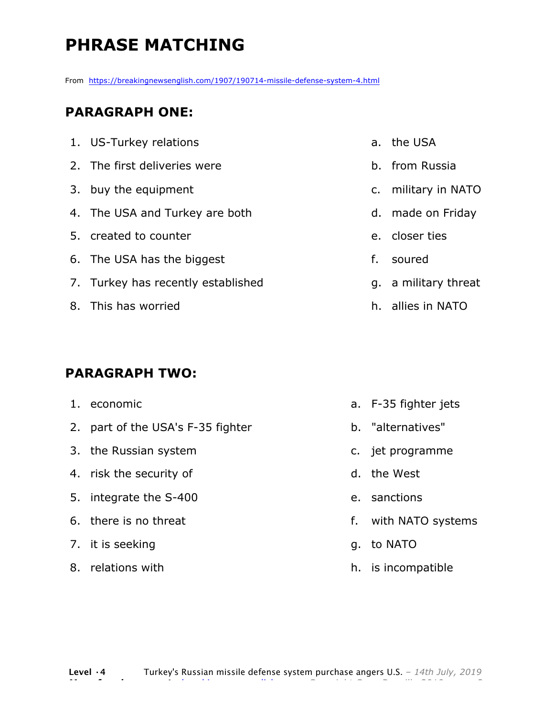# **PHRASE MATCHING**

From https://breakingnewsenglish.com/1907/190714-missile-defense-system-4.html

#### **PARAGRAPH ONE:**

| 1. US-Turkey relations             | a. the USA           |
|------------------------------------|----------------------|
| 2. The first deliveries were       | b. from Russia       |
| 3. buy the equipment               | c. military in NATO  |
| 4. The USA and Turkey are both     | d. made on Friday    |
| 5. created to counter              | e. closer ties       |
| 6. The USA has the biggest         | f. soured            |
| 7. Turkey has recently established | g. a military threat |
| 8. This has worried                | h. allies in NATO    |
|                                    |                      |

#### **PARAGRAPH TWO:**

- 1. economic
- 2. part of the USA's F-35 fighter
- 3. the Russian system
- 4. risk the security of
- 5. integrate the S-400
- 6. there is no threat
- 7. it is seeking
- 8. relations with
- a. F-35 fighter jets
- b. "alternatives"
- c. jet programme
- d. the West
- e. sanctions
- f. with NATO systems
- g. to NATO
- h. is incompatible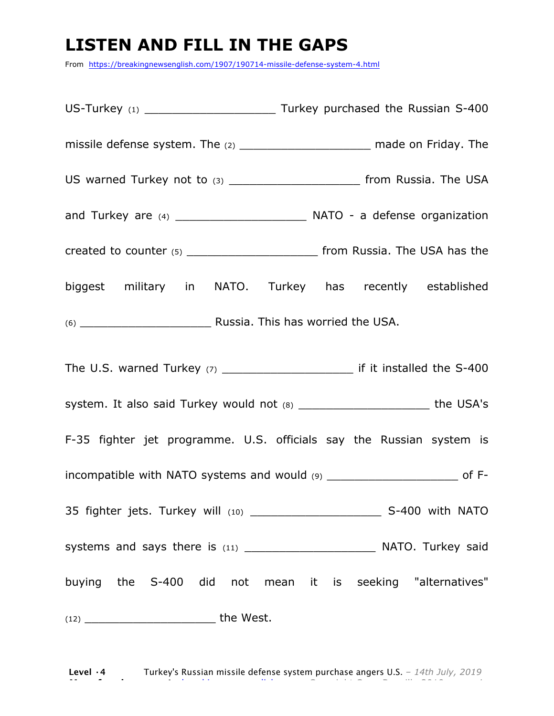# **LISTEN AND FILL IN THE GAPS**

From https://breakingnewsenglish.com/1907/190714-missile-defense-system-4.html

US-Turkey (1) \_\_\_\_\_\_\_\_\_\_\_\_\_\_\_\_\_\_\_ Turkey purchased the Russian S-400 missile defense system. The (2) \_\_\_\_\_\_\_\_\_\_\_\_\_\_\_\_\_\_\_\_\_\_\_\_ made on Friday. The US warned Turkey not to (3) example 1 and the USA of from Russia. The USA and Turkey are (4) \_\_\_\_\_\_\_\_\_\_\_\_\_\_\_\_\_\_\_ NATO - a defense organization created to counter (5) \_\_\_\_\_\_\_\_\_\_\_\_\_\_\_\_\_\_\_\_\_\_\_\_\_\_\_\_ from Russia. The USA has the biggest military in NATO. Turkey has recently established (6) \_\_\_\_\_\_\_\_\_\_\_\_\_\_\_\_\_\_\_ Russia. This has worried the USA. The U.S. warned Turkey (7) The U.S. warned Turkey (7) system. It also said Turkey would not (8) The USA's the USA's F-35 fighter jet programme. U.S. officials say the Russian system is incompatible with NATO systems and would  $(9)$  \_\_\_\_\_\_\_\_\_\_\_\_\_\_\_\_\_\_\_\_\_\_\_\_\_\_\_\_\_\_\_\_\_\_ of F-35 fighter jets. Turkey will (10) **S-400** with NATO systems and says there is (11) \_\_\_\_\_\_\_\_\_\_\_\_\_\_\_\_\_\_\_ NATO. Turkey said buying the S-400 did not mean it is seeking "alternatives"  $(12)$  the West.

**Level ·4** Turkey's Russian missile defense system purchase angers U.S. *– 14th July, 2019* **More free lessons at** breakingnewsenglish.com - Copyright Sean Banville 2019 4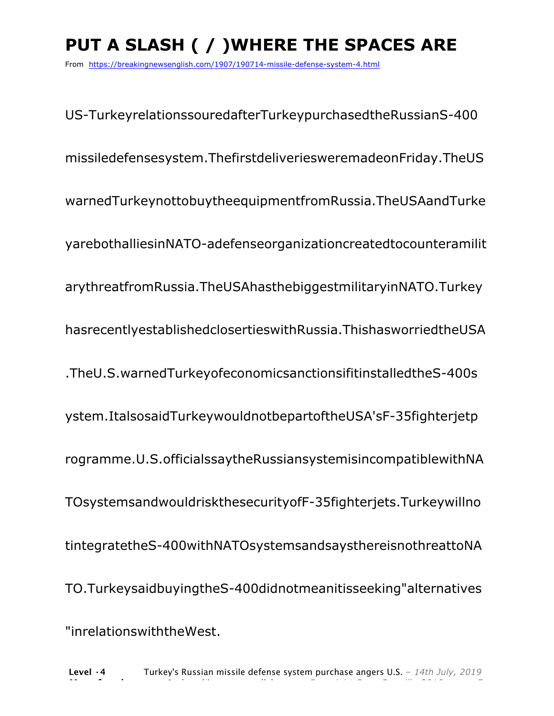# **PUT A SLASH ( / )WHERE THE SPACES ARE**

From https://breakingnewsenglish.com/1907/190714-missile-defense-system-4.html

US-TurkeyrelationssouredafterTurkeypurchasedtheRussianS-400 missiledefensesystem.ThefirstdeliveriesweremadeonFriday.TheUS warnedTurkeynottobuytheequipmentfromRussia.TheUSAandTurke yarebothalliesinNATO-adefenseorganizationcreatedtocounteramilit arythreatfromRussia.TheUSAhasthebiggestmilitaryinNATO.Turkey hasrecentlyestablishedclosertieswithRussia.ThishasworriedtheUSA .TheU.S.warnedTurkeyofeconomicsanctionsifitinstalledtheS-400s ystem.ItalsosaidTurkeywouldnotbepartoftheUSA'sF-35fighterjetp rogramme.U.S.officialssaytheRussiansystemisincompatiblewithNA TOsystemsandwouldriskthesecurityofF-35fighterjets.Turkeywillno tintegratetheS-400withNATOsystemsandsaysthereisnothreattoNA TO.TurkeysaidbuyingtheS-400didnotmeanitisseeking"alternatives "inrelationswiththeWest.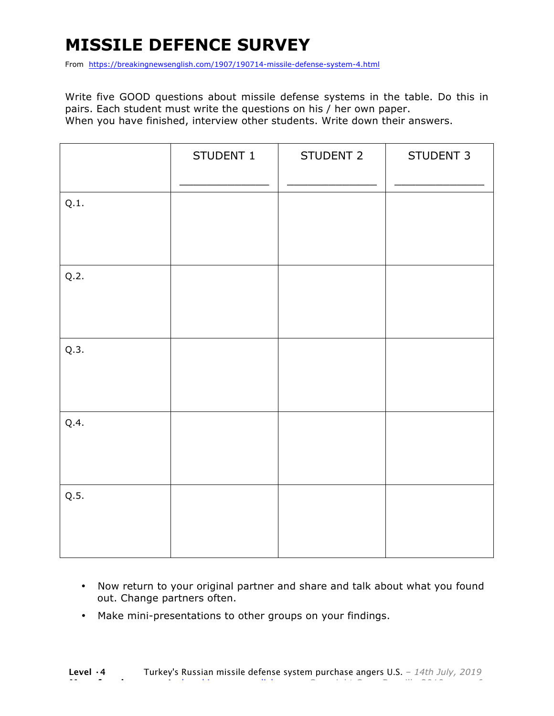# **MISSILE DEFENCE SURVEY**

From https://breakingnewsenglish.com/1907/190714-missile-defense-system-4.html

Write five GOOD questions about missile defense systems in the table. Do this in pairs. Each student must write the questions on his / her own paper. When you have finished, interview other students. Write down their answers.

|      | STUDENT 1 | STUDENT 2 | STUDENT 3 |
|------|-----------|-----------|-----------|
| Q.1. |           |           |           |
| Q.2. |           |           |           |
| Q.3. |           |           |           |
| Q.4. |           |           |           |
| Q.5. |           |           |           |

- Now return to your original partner and share and talk about what you found out. Change partners often.
- Make mini-presentations to other groups on your findings.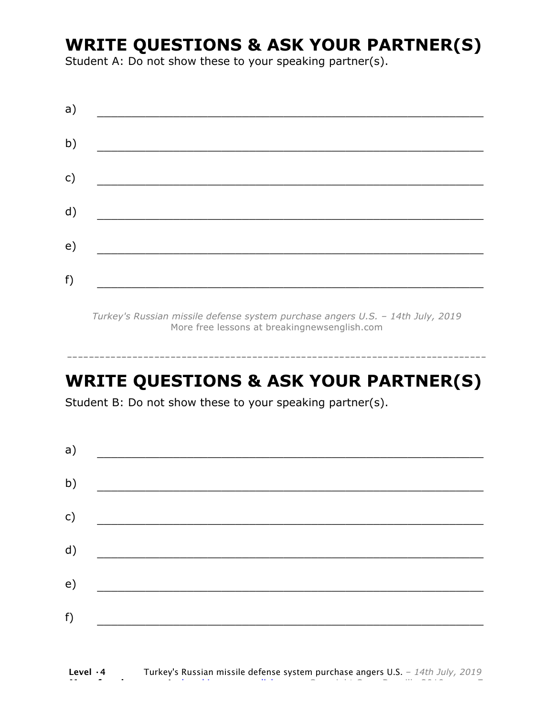# **WRITE QUESTIONS & ASK YOUR PARTNER(S)**

Student A: Do not show these to your speaking partner(s).

| a) |                                                    |  |  |
|----|----------------------------------------------------|--|--|
| b) | <u> 1986 - John Stein, Amerikaansk politiker (</u> |  |  |
| c) |                                                    |  |  |
| d) |                                                    |  |  |
| e) |                                                    |  |  |
| f) |                                                    |  |  |
|    |                                                    |  |  |

*Turkey's Russian missile defense system purchase angers U.S. – 14th July, 2019* More free lessons at breakingnewsenglish.com

# **WRITE QUESTIONS & ASK YOUR PARTNER(S)**

-----------------------------------------------------------------------------

Student B: Do not show these to your speaking partner(s).

| a) |  |  |
|----|--|--|
| b) |  |  |
| c) |  |  |
| d) |  |  |
| e) |  |  |
| f) |  |  |
|    |  |  |